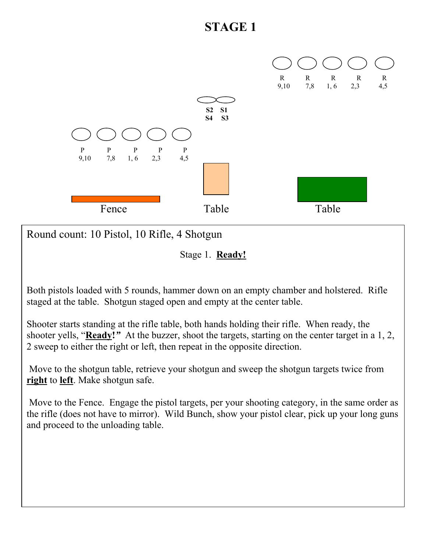

Round count: 10 Pistol, 10 Rifle, 4 Shotgun

Stage 1. **Ready!**

Both pistols loaded with 5 rounds, hammer down on an empty chamber and holstered. Rifle staged at the table. Shotgun staged open and empty at the center table.

Shooter starts standing at the rifle table, both hands holding their rifle. When ready, the shooter yells, "**Ready!***"* At the buzzer, shoot the targets, starting on the center target in a 1, 2, 2 sweep to either the right or left, then repeat in the opposite direction.

 Move to the shotgun table, retrieve your shotgun and sweep the shotgun targets twice from **right** to **left**. Make shotgun safe.

 Move to the Fence. Engage the pistol targets, per your shooting category, in the same order as the rifle (does not have to mirror). Wild Bunch, show your pistol clear, pick up your long guns and proceed to the unloading table.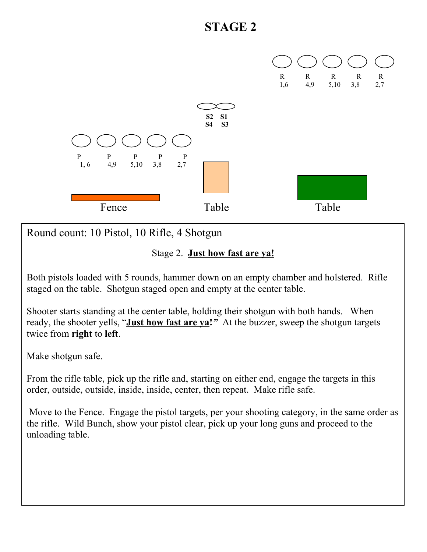

Round count: 10 Pistol, 10 Rifle, 4 Shotgun

Stage 2. **Just how fast are ya!**

Both pistols loaded with 5 rounds, hammer down on an empty chamber and holstered. Rifle staged on the table. Shotgun staged open and empty at the center table.

Shooter starts standing at the center table, holding their shotgun with both hands. When ready, the shooter yells, "**Just how fast are ya!***"* At the buzzer, sweep the shotgun targets twice from **right** to **left**.

Make shotgun safe.

From the rifle table, pick up the rifle and, starting on either end, engage the targets in this order, outside, outside, inside, inside, center, then repeat. Make rifle safe.

 Move to the Fence. Engage the pistol targets, per your shooting category, in the same order as the rifle. Wild Bunch, show your pistol clear, pick up your long guns and proceed to the unloading table.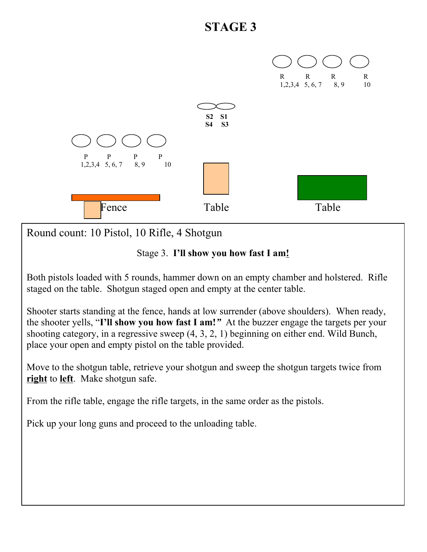

Round count: 10 Pistol, 10 Rifle, 4 Shotgun

#### Stage 3. **I'll show you how fast I am!**

Both pistols loaded with 5 rounds, hammer down on an empty chamber and holstered. Rifle staged on the table. Shotgun staged open and empty at the center table.

Shooter starts standing at the fence, hands at low surrender (above shoulders). When ready, the shooter yells, "**I'll show you how fast I am!***"* At the buzzer engage the targets per your shooting category, in a regressive sweep (4, 3, 2, 1) beginning on either end. Wild Bunch, place your open and empty pistol on the table provided.

Move to the shotgun table, retrieve your shotgun and sweep the shotgun targets twice from **right** to **left**. Make shotgun safe.

From the rifle table, engage the rifle targets, in the same order as the pistols.

Pick up your long guns and proceed to the unloading table.